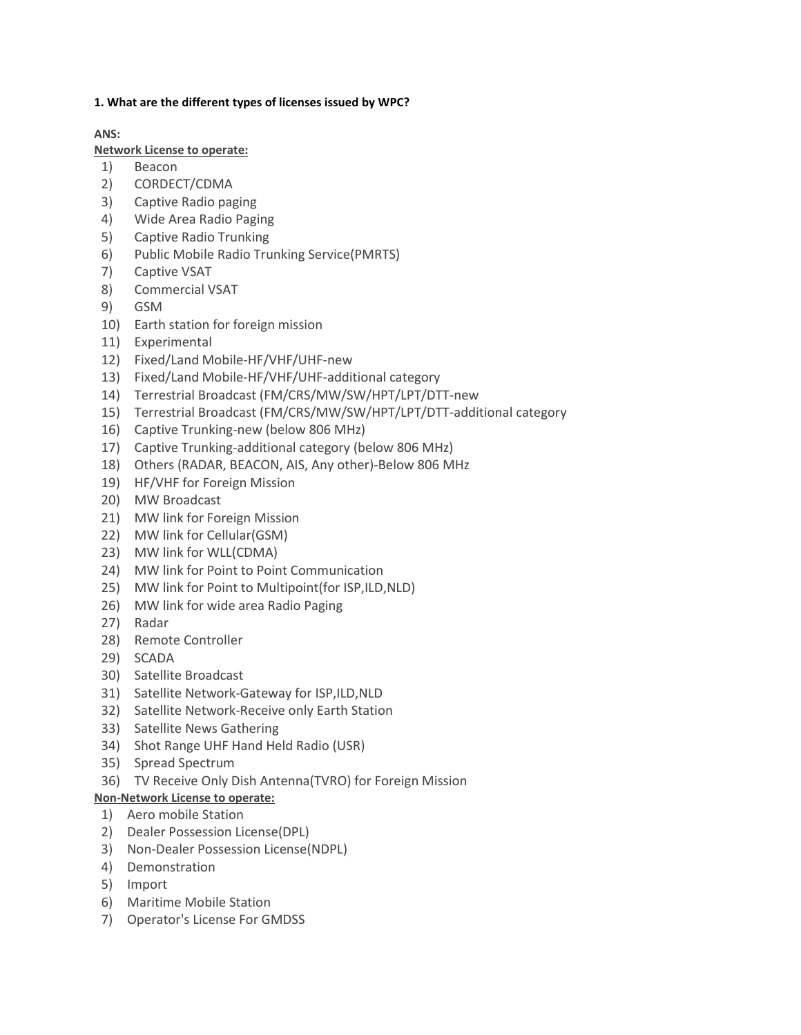### **1. What are the different types of licenses issued by WPC?**

**ANS:**

### **Network License to operate:**

- 1) Beacon
- 2) CORDECT/CDMA
- 3) Captive Radio paging
- 4) Wide Area Radio Paging
- 5) Captive Radio Trunking
- 6) Public Mobile Radio Trunking Service(PMRTS)
- 7) Captive VSAT
- 8) Commercial VSAT
- 9) GSM
- 10) Earth station for foreign mission
- 11) Experimental
- 12) Fixed/Land Mobile-HF/VHF/UHF-new
- 13) Fixed/Land Mobile-HF/VHF/UHF-additional category
- 14) Terrestrial Broadcast (FM/CRS/MW/SW/HPT/LPT/DTT-new
- 15) Terrestrial Broadcast (FM/CRS/MW/SW/HPT/LPT/DTT-additional category
- 16) Captive Trunking-new (below 806 MHz)
- 17) Captive Trunking-additional category (below 806 MHz)
- 18) Others (RADAR, BEACON, AIS, Any other)-Below 806 MHz
- 19) HF/VHF for Foreign Mission
- 20) MW Broadcast
- 21) MW link for Foreign Mission
- 22) MW link for Cellular(GSM)
- 23) MW link for WLL(CDMA)
- 24) MW link for Point to Point Communication
- 25) MW link for Point to Multipoint(for ISP,ILD,NLD)
- 26) MW link for wide area Radio Paging
- 27) Radar
- 28) Remote Controller
- 29) SCADA
- 30) Satellite Broadcast
- 31) Satellite Network-Gateway for ISP,ILD,NLD
- 32) Satellite Network-Receive only Earth Station
- 33) Satellite News Gathering
- 34) Shot Range UHF Hand Held Radio (USR)
- 35) Spread Spectrum
- 36) TV Receive Only Dish Antenna(TVRO) for Foreign Mission

## **Non-Network License to operate:**

- 1) Aero mobile Station
- 2) Dealer Possession License(DPL)
- 3) Non-Dealer Possession License(NDPL)
- 4) Demonstration
- 5) Import
- 6) Maritime Mobile Station
- 7) Operator's License For GMDSS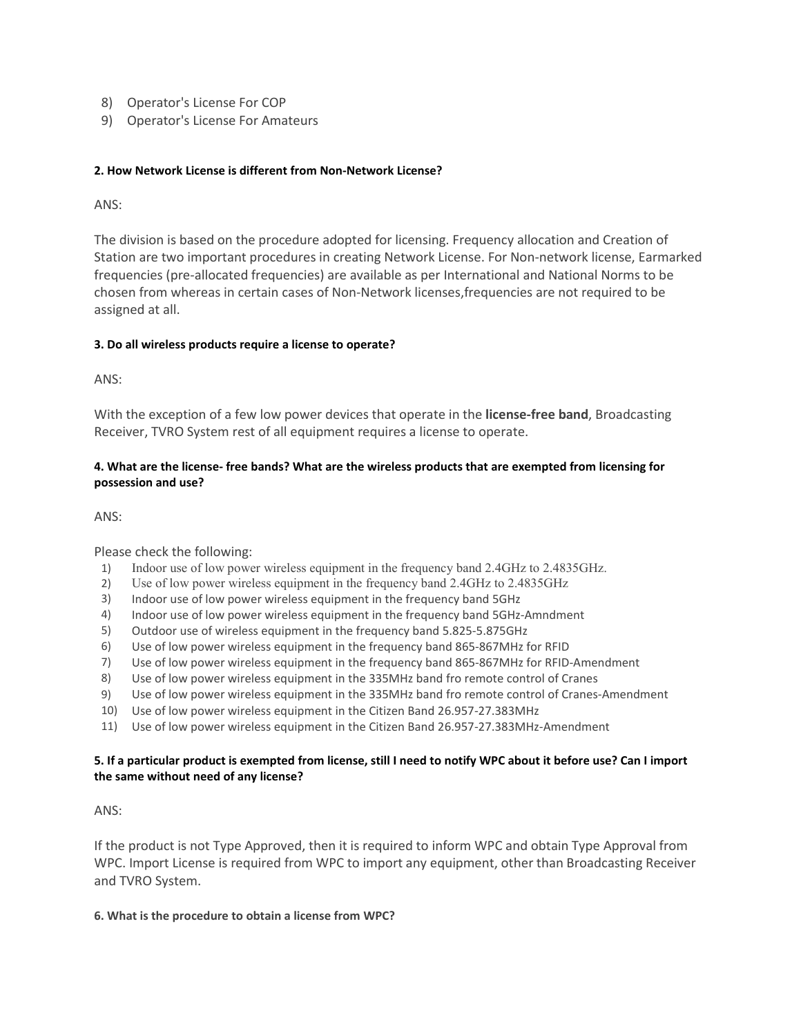- 8) Operator's License For COP
- 9) Operator's License For Amateurs

### **2. How Network License is different from Non-Network License?**

ANS:

The division is based on the procedure adopted for licensing. Frequency allocation and Creation of Station are two important procedures in creating Network License. For Non-network license, Earmarked frequencies (pre-allocated frequencies) are available as per International and National Norms to be chosen from whereas in certain cases of Non-Network licenses,frequencies are not required to be assigned at all.

### **3. Do all wireless products require a license to operate?**

ANS:

With the exception of a few low power devices that operate in the **license-free band**, Broadcasting Receiver, TVRO System rest of all equipment requires a license to operate.

### **4. What are the license- free bands? What are the wireless products that are exempted from licensing for possession and use?**

ANS:

Please check the following:

- 1) Indoor use of low power wireless equipment in the frequency band 2.4GHz to 2.4835GHz.
- 2) Use of low power wireless equipment in the frequency band 2.4GHz to 2.4835GHz
- 3) Indoor use of low power wireless equipment in the frequency band 5GHz
- 4) Indoor use of low power wireless equipment in the frequency band 5GHz-Amndment
- 5) Outdoor use of wireless equipment in the frequency band 5.825-5.875GHz
- 6) Use of low power wireless equipment in the frequency band 865-867MHz for RFID
- 7) Use of low power wireless equipment in the frequency band 865-867MHz for RFID-Amendment
- 8) Use of low power wireless equipment in the 335MHz band fro remote control of Cranes
- 9) Use of low power wireless equipment in the 335MHz band fro remote control of Cranes-Amendment
- 10) Use of low power wireless equipment in the Citizen Band 26.957-27.383MHz
- 11) Use of low power wireless equipment in the Citizen Band 26.957-27.383MHz-Amendment

### **5. If a particular product is exempted from license, still I need to notify WPC about it before use? Can I import the same without need of any license?**

ANS:

If the product is not Type Approved, then it is required to inform WPC and obtain Type Approval from WPC. Import License is required from WPC to import any equipment, other than Broadcasting Receiver and TVRO System.

#### **6. What is the procedure to obtain a license from WPC?**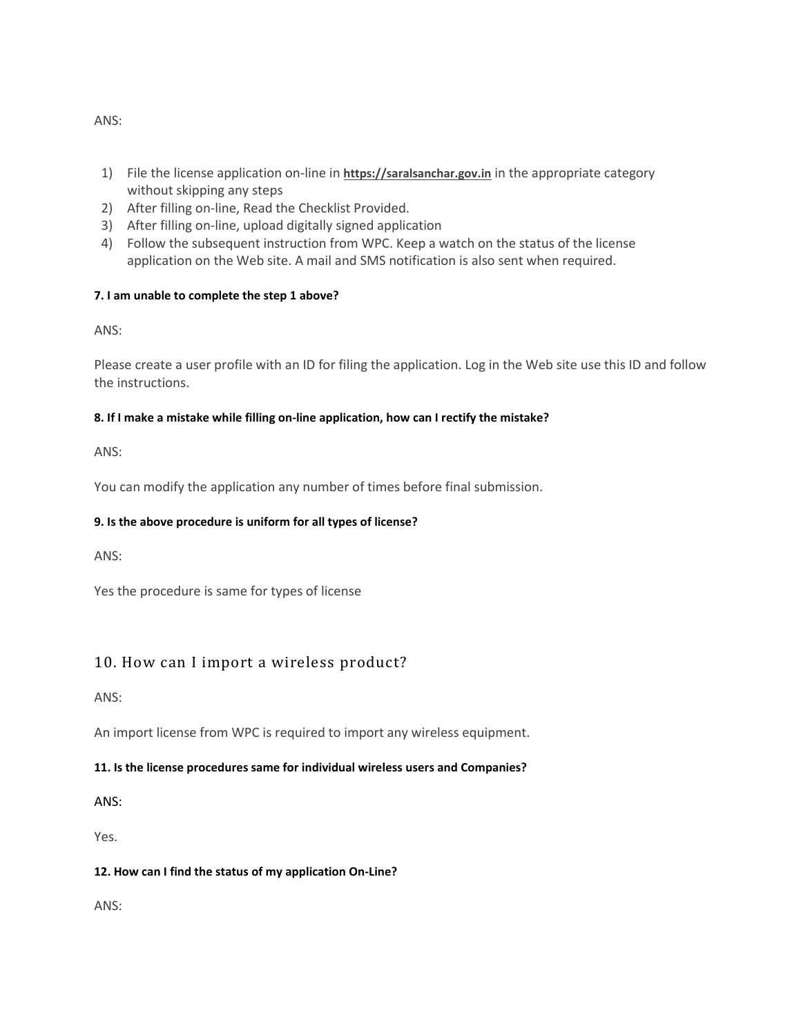- 1) File the license application on-line in **https://saralsanchar.gov.in** in the appropriate category without skipping any steps
- 2) After filling on-line, Read the Checklist Provided.
- 3) After filling on-line, upload digitally signed application
- 4) Follow the subsequent instruction from WPC. Keep a watch on the status of the license application on the Web site. A mail and SMS notification is also sent when required.

## **7. I am unable to complete the step 1 above?**

ANS:

Please create a user profile with an ID for filing the application. Log in the Web site use this ID and follow the instructions.

## **8. If I make a mistake while filling on-line application, how can I rectify the mistake?**

ANS:

You can modify the application any number of times before final submission.

## **9. Is the above procedure is uniform for all types of license?**

ANS:

Yes the procedure is same for types of license

# 10. How can I import a wireless product?

ANS:

An import license from WPC is required to import any wireless equipment.

## **11. Is the license procedures same for individual wireless users and Companies?**

ANS:

Yes.

## **12. How can I find the status of my application On-Line?**

ANS:

ANS: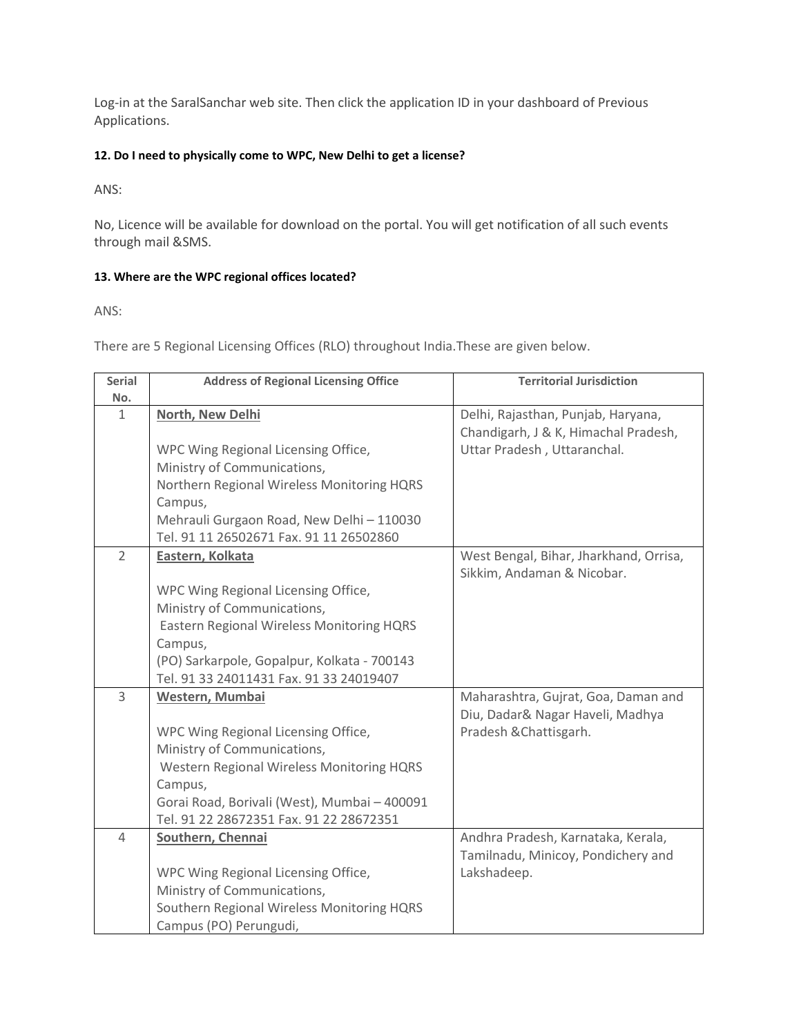Log-in at the SaralSanchar web site. Then click the application ID in your dashboard of Previous Applications.

### **12. Do I need to physically come to WPC, New Delhi to get a license?**

ANS:

No, Licence will be available for download on the portal. You will get notification of all such events through mail &SMS.

### **13. Where are the WPC regional offices located?**

ANS:

There are 5 Regional Licensing Offices (RLO) throughout India.These are given below.

| <b>Serial</b>  | <b>Address of Regional Licensing Office</b>                                                                                                                                                                                              | <b>Territorial Jurisdiction</b>                                                                           |
|----------------|------------------------------------------------------------------------------------------------------------------------------------------------------------------------------------------------------------------------------------------|-----------------------------------------------------------------------------------------------------------|
| No.            |                                                                                                                                                                                                                                          |                                                                                                           |
| 1              | North, New Delhi<br>WPC Wing Regional Licensing Office,<br>Ministry of Communications,<br>Northern Regional Wireless Monitoring HQRS<br>Campus,<br>Mehrauli Gurgaon Road, New Delhi - 110030<br>Tel. 91 11 26502671 Fax. 91 11 26502860  | Delhi, Rajasthan, Punjab, Haryana,<br>Chandigarh, J & K, Himachal Pradesh,<br>Uttar Pradesh, Uttaranchal. |
| $\overline{2}$ | Eastern, Kolkata<br>WPC Wing Regional Licensing Office,<br>Ministry of Communications,<br>Eastern Regional Wireless Monitoring HQRS<br>Campus,<br>(PO) Sarkarpole, Gopalpur, Kolkata - 700143<br>Tel. 91 33 24011431 Fax. 91 33 24019407 | West Bengal, Bihar, Jharkhand, Orrisa,<br>Sikkim, Andaman & Nicobar.                                      |
| 3              | Western, Mumbai<br>WPC Wing Regional Licensing Office,<br>Ministry of Communications,<br>Western Regional Wireless Monitoring HQRS<br>Campus,<br>Gorai Road, Borivali (West), Mumbai - 400091<br>Tel. 91 22 28672351 Fax. 91 22 28672351 | Maharashtra, Gujrat, Goa, Daman and<br>Diu, Dadar& Nagar Haveli, Madhya<br>Pradesh & Chattisgarh.         |
| 4              | Southern, Chennai<br>WPC Wing Regional Licensing Office,<br>Ministry of Communications,<br>Southern Regional Wireless Monitoring HQRS<br>Campus (PO) Perungudi,                                                                          | Andhra Pradesh, Karnataka, Kerala,<br>Tamilnadu, Minicoy, Pondichery and<br>Lakshadeep.                   |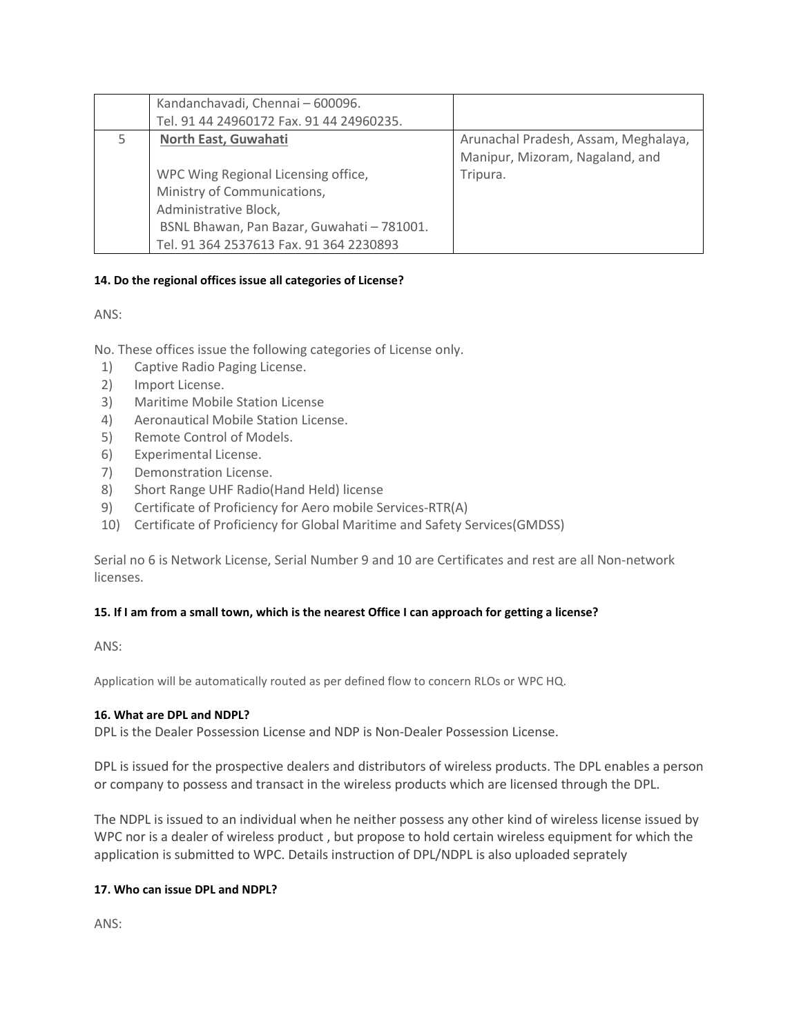| Kandanchavadi, Chennai - 600096.           |                                      |
|--------------------------------------------|--------------------------------------|
| Tel. 91 44 24960172 Fax. 91 44 24960235.   |                                      |
| North East, Guwahati                       | Arunachal Pradesh, Assam, Meghalaya, |
|                                            | Manipur, Mizoram, Nagaland, and      |
| WPC Wing Regional Licensing office,        | Tripura.                             |
| Ministry of Communications,                |                                      |
| Administrative Block,                      |                                      |
| BSNL Bhawan, Pan Bazar, Guwahati - 781001. |                                      |
| Tel. 91 364 2537613 Fax. 91 364 2230893    |                                      |

### **14. Do the regional offices issue all categories of License?**

ANS:

No. These offices issue the following categories of License only.

- 1) Captive Radio Paging License.
- 2) Import License.
- 3) Maritime Mobile Station License
- 4) Aeronautical Mobile Station License.
- 5) Remote Control of Models.
- 6) Experimental License.
- 7) Demonstration License.
- 8) Short Range UHF Radio(Hand Held) license
- 9) Certificate of Proficiency for Aero mobile Services-RTR(A)
- 10) Certificate of Proficiency for Global Maritime and Safety Services(GMDSS)

Serial no 6 is Network License, Serial Number 9 and 10 are Certificates and rest are all Non-network licenses.

### **15. If I am from a small town, which is the nearest Office I can approach for getting a license?**

ANS:

Application will be automatically routed as per defined flow to concern RLOs or WPC HQ.

#### **16. What are DPL and NDPL?**

DPL is the Dealer Possession License and NDP is Non-Dealer Possession License.

DPL is issued for the prospective dealers and distributors of wireless products. The DPL enables a person or company to possess and transact in the wireless products which are licensed through the DPL.

The NDPL is issued to an individual when he neither possess any other kind of wireless license issued by WPC nor is a dealer of wireless product , but propose to hold certain wireless equipment for which the application is submitted to WPC. Details instruction of DPL/NDPL is also uploaded seprately

### **17. Who can issue DPL and NDPL?**

ANS: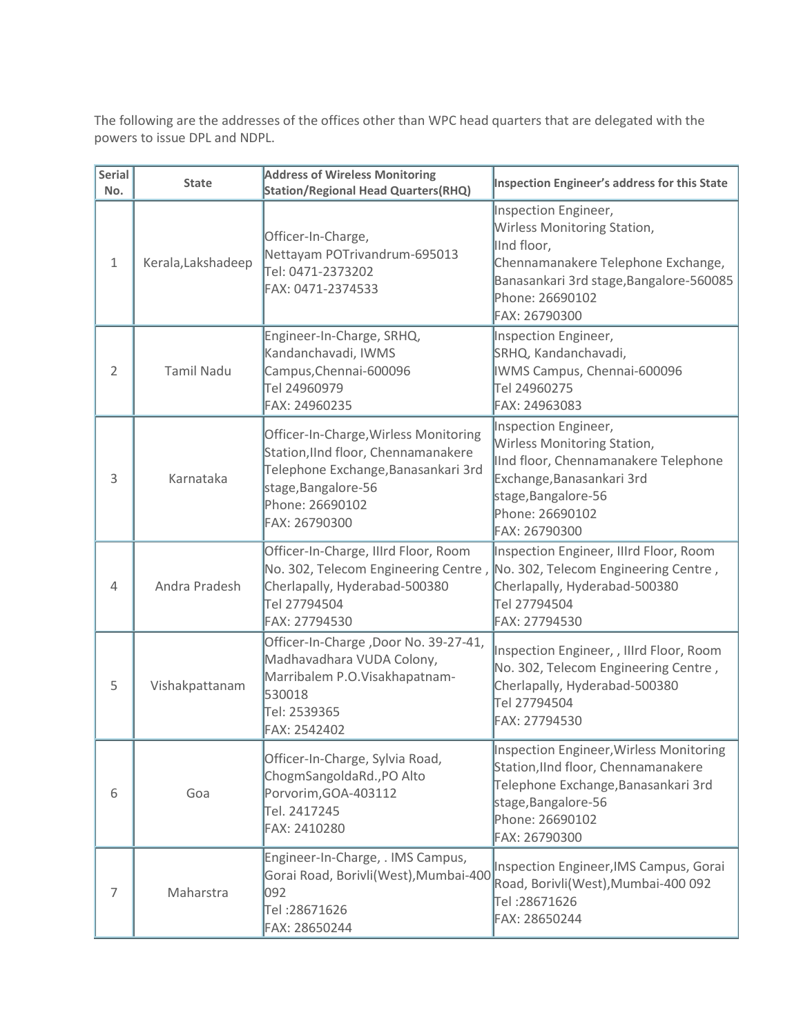The following are the addresses of the offices other than WPC head quarters that are delegated with the powers to issue DPL and NDPL.

| <b>Serial</b><br>No. | <b>State</b>       | <b>Address of Wireless Monitoring</b><br><b>Station/Regional Head Quarters(RHQ)</b>                                                                                            | Inspection Engineer's address for this State                                                                                                                                            |
|----------------------|--------------------|--------------------------------------------------------------------------------------------------------------------------------------------------------------------------------|-----------------------------------------------------------------------------------------------------------------------------------------------------------------------------------------|
| $\mathbf{1}$         | Kerala, Lakshadeep | Officer-In-Charge,<br>Nettayam POTrivandrum-695013<br>Tel: 0471-2373202<br>FAX: 0471-2374533                                                                                   | Inspection Engineer,<br>Wirless Monitoring Station,<br>lind floor,<br>Chennamanakere Telephone Exchange,<br>Banasankari 3rd stage, Bangalore-560085<br>Phone: 26690102<br>FAX: 26790300 |
| 2                    | <b>Tamil Nadu</b>  | Engineer-In-Charge, SRHQ,<br>Kandanchavadi, IWMS<br>Campus, Chennai-600096<br>Tel 24960979<br>FAX: 24960235                                                                    | Inspection Engineer,<br>SRHQ, Kandanchavadi,<br>IWMS Campus, Chennai-600096<br>Tel 24960275<br>FAX: 24963083                                                                            |
| 3                    | Karnataka          | Officer-In-Charge, Wirless Monitoring<br>Station, IInd floor, Chennamanakere<br>Telephone Exchange, Banasankari 3rd<br>stage, Bangalore-56<br>Phone: 26690102<br>FAX: 26790300 | Inspection Engineer,<br>Wirless Monitoring Station,<br>IInd floor, Chennamanakere Telephone<br>Exchange, Banasankari 3rd<br>stage, Bangalore-56<br>Phone: 26690102<br>FAX: 26790300     |
| 4                    | Andra Pradesh      | Officer-In-Charge, Illrd Floor, Room<br>No. 302, Telecom Engineering Centre,<br>Cherlapally, Hyderabad-500380<br>Tel 27794504<br>FAX: 27794530                                 | Inspection Engineer, Illrd Floor, Room<br>No. 302, Telecom Engineering Centre,<br>Cherlapally, Hyderabad-500380<br>Tel 27794504<br>FAX: 27794530                                        |
| 5                    | Vishakpattanam     | Officer-In-Charge, Door No. 39-27-41,<br>Madhavadhara VUDA Colony,<br>Marribalem P.O. Visakhapatnam-<br>530018<br>Tel: 2539365<br>FAX: 2542402                                 | Inspection Engineer, , Illrd Floor, Room<br>No. 302, Telecom Engineering Centre,<br>Cherlapally, Hyderabad-500380<br>Tel 27794504<br>FAX: 27794530                                      |
| 6                    | Goa                | Officer-In-Charge, Sylvia Road,<br>ChogmSangoldaRd., PO Alto<br>Porvorim, GOA-403112<br>Tel. 2417245<br>FAX: 2410280                                                           | Inspection Engineer, Wirless Monitoring<br>Station, IInd floor, Chennamanakere<br>Telephone Exchange, Banasankari 3rd<br>stage, Bangalore-56<br>Phone: 26690102<br>FAX: 26790300        |
| 7                    | Maharstra          | Engineer-In-Charge, . IMS Campus,<br>Gorai Road, Borivli(West), Mumbai-400<br>092<br>Tel: 28671626<br>FAX: 28650244                                                            | Inspection Engineer, IMS Campus, Gorai<br>Road, Borivli(West), Mumbai-400 092<br>Tel: 28671626<br>FAX: 28650244                                                                         |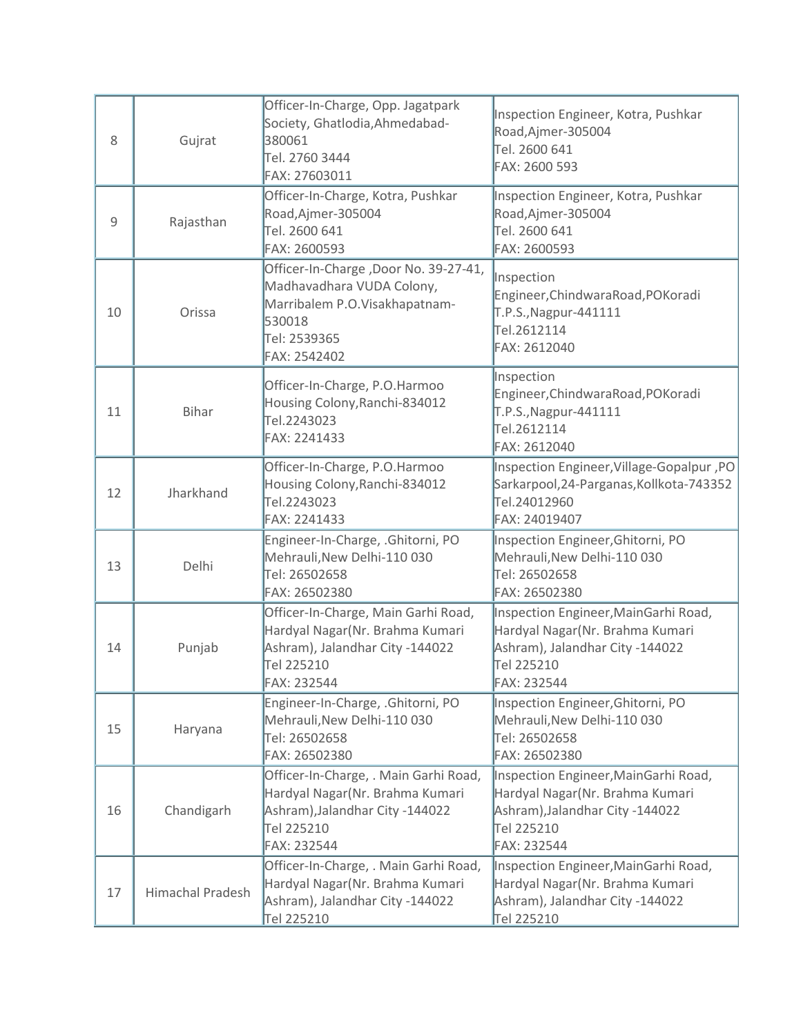| 8  | Gujrat           | Officer-In-Charge, Opp. Jagatpark<br>Society, Ghatlodia, Ahmedabad-<br>380061<br>Tel. 2760 3444<br>FAX: 27603011                              | Inspection Engineer, Kotra, Pushkar<br>Road, Ajmer-305004<br>Tel. 2600 641<br>FAX: 2600 593                                             |
|----|------------------|-----------------------------------------------------------------------------------------------------------------------------------------------|-----------------------------------------------------------------------------------------------------------------------------------------|
| 9  | Rajasthan        | Officer-In-Charge, Kotra, Pushkar<br>Road, Ajmer-305004<br>Tel. 2600 641<br>FAX: 2600593                                                      | Inspection Engineer, Kotra, Pushkar<br>Road, Ajmer-305004<br>Tel. 2600 641<br>FAX: 2600593                                              |
| 10 | Orissa           | Officer-In-Charge, Door No. 39-27-41,<br>Madhavadhara VUDA Colony,<br>Marribalem P.O.Visakhapatnam-<br>530018<br>Tel: 2539365<br>FAX: 2542402 | Inspection<br>Engineer, Chindwara Road, POKoradi<br>T.P.S., Nagpur-441111<br>Tel.2612114<br>FAX: 2612040                                |
| 11 | <b>Bihar</b>     | Officer-In-Charge, P.O.Harmoo<br>Housing Colony, Ranchi-834012<br>Tel.2243023<br>FAX: 2241433                                                 | Inspection<br>Engineer, Chindwara Road, POKoradi<br>T.P.S., Nagpur-441111<br>Tel.2612114<br>FAX: 2612040                                |
| 12 | Jharkhand        | Officer-In-Charge, P.O.Harmoo<br>Housing Colony, Ranchi-834012<br>Tel.2243023<br>FAX: 2241433                                                 | Inspection Engineer, Village-Gopalpur, PO<br>Sarkarpool, 24-Parganas, Kollkota-743352<br>Tel.24012960<br>FAX: 24019407                  |
| 13 | Delhi            | Engineer-In-Charge, .Ghitorni, PO<br>Mehrauli, New Delhi-110 030<br>Tel: 26502658<br>FAX: 26502380                                            | Inspection Engineer, Ghitorni, PO<br>Mehrauli, New Delhi-110 030<br>Tel: 26502658<br>FAX: 26502380                                      |
| 14 | Punjab           | Officer-In-Charge, Main Garhi Road,<br>Hardyal Nagar(Nr. Brahma Kumari<br>Ashram), Jalandhar City -144022<br>Tel 225210<br>FAX: 232544        | Inspection Engineer, MainGarhi Road,<br>Hardyal Nagar(Nr. Brahma Kumari<br>Ashram), Jalandhar City -144022<br>Tel 225210<br>FAX: 232544 |
| 15 | Haryana          | Engineer-In-Charge, .Ghitorni, PO<br>Mehrauli, New Delhi-110 030<br>Tel: 26502658<br>FAX: 26502380                                            | Inspection Engineer, Ghitorni, PO<br>Mehrauli, New Delhi-110 030<br>Tel: 26502658<br>FAX: 26502380                                      |
| 16 | Chandigarh       | Officer-In-Charge, . Main Garhi Road,<br>Hardyal Nagar(Nr. Brahma Kumari<br>Ashram), Jalandhar City -144022<br>Tel 225210<br>FAX: 232544      | Inspection Engineer, MainGarhi Road,<br>Hardyal Nagar(Nr. Brahma Kumari<br>Ashram), Jalandhar City -144022<br>Tel 225210<br>FAX: 232544 |
| 17 | Himachal Pradesh | Officer-In-Charge, . Main Garhi Road,<br>Hardyal Nagar(Nr. Brahma Kumari<br>Ashram), Jalandhar City -144022<br>Tel 225210                     | Inspection Engineer, MainGarhi Road,<br>Hardyal Nagar(Nr. Brahma Kumari<br>Ashram), Jalandhar City -144022<br>Tel 225210                |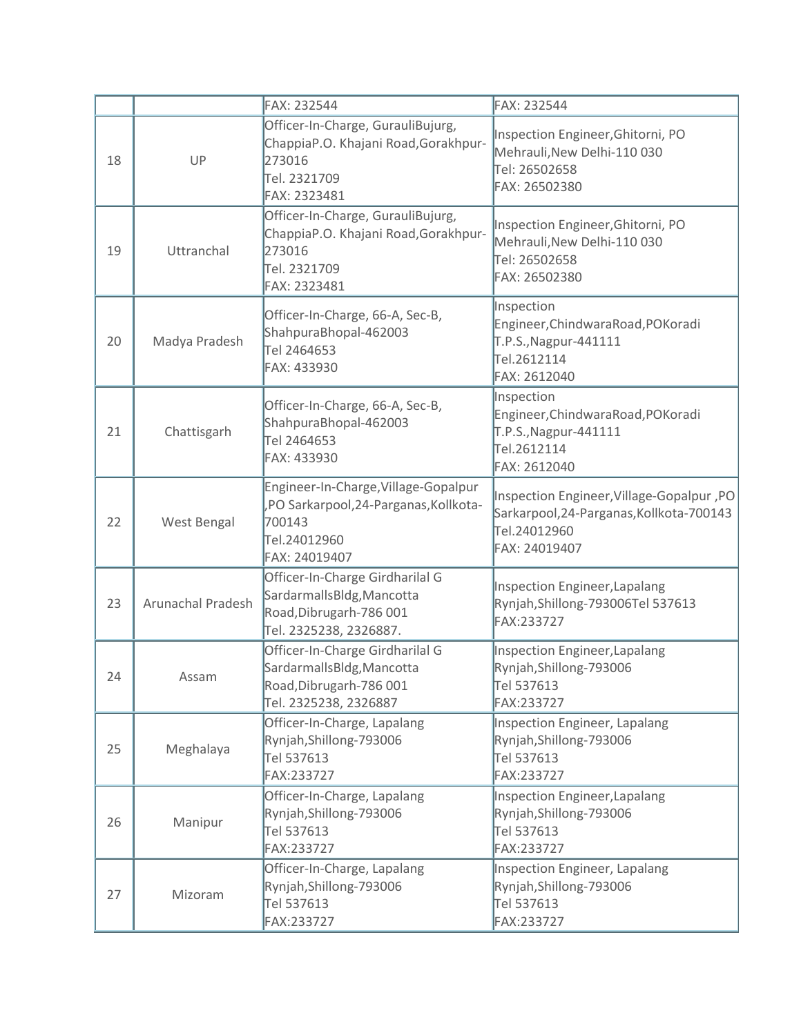|    |                          | FAX: 232544                                                                                                              | FAX: 232544                                                                                                            |
|----|--------------------------|--------------------------------------------------------------------------------------------------------------------------|------------------------------------------------------------------------------------------------------------------------|
| 18 | UP                       | Officer-In-Charge, GurauliBujurg,<br>ChappiaP.O. Khajani Road, Gorakhpur-<br>273016<br>Tel. 2321709<br>FAX: 2323481      | Inspection Engineer, Ghitorni, PO<br>Mehrauli, New Delhi-110 030<br>Tel: 26502658<br>FAX: 26502380                     |
| 19 | Uttranchal               | Officer-In-Charge, GurauliBujurg,<br>ChappiaP.O. Khajani Road, Gorakhpur-<br>273016<br>Tel. 2321709<br>FAX: 2323481      | Inspection Engineer, Ghitorni, PO<br>Mehrauli, New Delhi-110 030<br>Tel: 26502658<br>FAX: 26502380                     |
| 20 | Madya Pradesh            | Officer-In-Charge, 66-A, Sec-B,<br>ShahpuraBhopal-462003<br>Tel 2464653<br>FAX: 433930                                   | Inspection<br>Engineer, ChindwaraRoad, POKoradi<br>T.P.S., Nagpur-441111<br>Tel.2612114<br>FAX: 2612040                |
| 21 | Chattisgarh              | Officer-In-Charge, 66-A, Sec-B,<br>ShahpuraBhopal-462003<br>Tel 2464653<br>FAX: 433930                                   | Inspection<br>Engineer, ChindwaraRoad, POKoradi<br>T.P.S., Nagpur-441111<br>Tel.2612114<br>FAX: 2612040                |
| 22 | West Bengal              | Engineer-In-Charge, Village-Gopalpur<br>,PO Sarkarpool,24-Parganas, Kollkota-<br>700143<br>Tel.24012960<br>FAX: 24019407 | Inspection Engineer, Village-Gopalpur, PO<br>Sarkarpool, 24-Parganas, Kollkota-700143<br>Tel.24012960<br>FAX: 24019407 |
| 23 | <b>Arunachal Pradesh</b> | Officer-In-Charge Girdharilal G<br>SardarmallsBldg, Mancotta<br>Road, Dibrugarh-786 001<br>Tel. 2325238, 2326887.        | <b>Inspection Engineer, Lapalang</b><br>Rynjah, Shillong-793006Tel 537613<br>FAX:233727                                |
| 24 | Assam                    | Officer-In-Charge Girdharilal G<br>SardarmallsBldg, Mancotta<br>Road, Dibrugarh-786 001<br>Tel. 2325238, 2326887         | <b>Inspection Engineer, Lapalang</b><br>Rynjah, Shillong-793006<br>Tel 537613<br>FAX:233727                            |
| 25 | Meghalaya                | Officer-In-Charge, Lapalang<br>Rynjah, Shillong-793006<br>Tel 537613<br>FAX:233727                                       | <b>Inspection Engineer, Lapalang</b><br>Rynjah, Shillong-793006<br>Tel 537613<br>FAX:233727                            |
| 26 | Manipur                  | Officer-In-Charge, Lapalang<br>Rynjah, Shillong-793006<br>Tel 537613<br>FAX:233727                                       | Inspection Engineer, Lapalang<br>Rynjah, Shillong-793006<br>Tel 537613<br>FAX:233727                                   |
| 27 | Mizoram                  | Officer-In-Charge, Lapalang<br>Rynjah, Shillong-793006<br>Tel 537613<br>FAX:233727                                       | <b>Inspection Engineer, Lapalang</b><br>Rynjah, Shillong-793006<br>Tel 537613<br>FAX:233727                            |